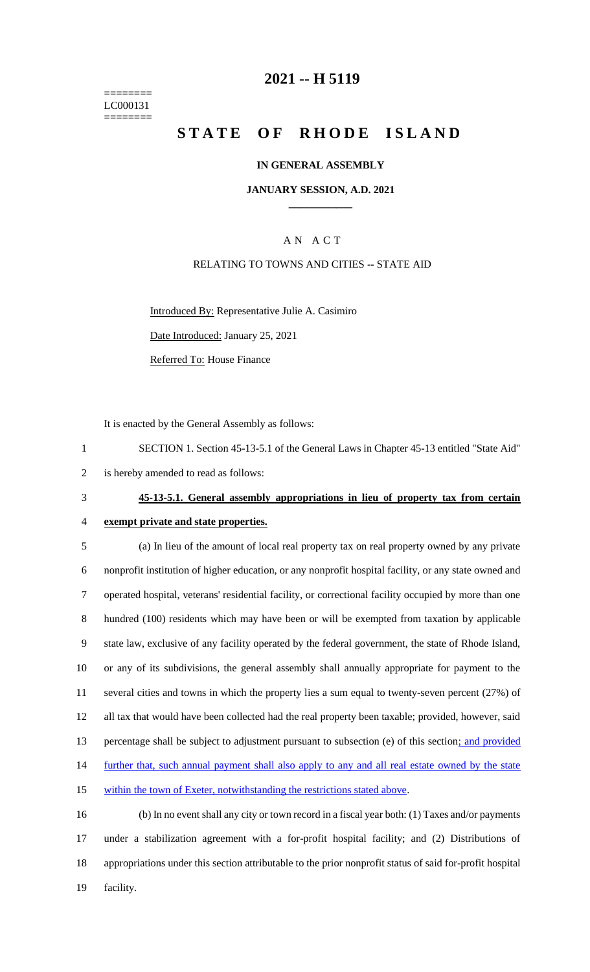======== LC000131 ========

## **2021 -- H 5119**

# **STATE OF RHODE ISLAND**

#### **IN GENERAL ASSEMBLY**

#### **JANUARY SESSION, A.D. 2021 \_\_\_\_\_\_\_\_\_\_\_\_**

## A N A C T

### RELATING TO TOWNS AND CITIES -- STATE AID

Introduced By: Representative Julie A. Casimiro

Date Introduced: January 25, 2021

Referred To: House Finance

It is enacted by the General Assembly as follows:

1 SECTION 1. Section 45-13-5.1 of the General Laws in Chapter 45-13 entitled "State Aid" 2 is hereby amended to read as follows:

# 3 **45-13-5.1. General assembly appropriations in lieu of property tax from certain**

4 **exempt private and state properties.**

 (a) In lieu of the amount of local real property tax on real property owned by any private nonprofit institution of higher education, or any nonprofit hospital facility, or any state owned and operated hospital, veterans' residential facility, or correctional facility occupied by more than one hundred (100) residents which may have been or will be exempted from taxation by applicable state law, exclusive of any facility operated by the federal government, the state of Rhode Island, or any of its subdivisions, the general assembly shall annually appropriate for payment to the several cities and towns in which the property lies a sum equal to twenty-seven percent (27%) of all tax that would have been collected had the real property been taxable; provided, however, said percentage shall be subject to adjustment pursuant to subsection (e) of this section; and provided 14 further that, such annual payment shall also apply to any and all real estate owned by the state 15 within the town of Exeter, notwithstanding the restrictions stated above.

 (b) In no event shall any city or town record in a fiscal year both: (1) Taxes and/or payments under a stabilization agreement with a for-profit hospital facility; and (2) Distributions of appropriations under this section attributable to the prior nonprofit status of said for-profit hospital 19 facility.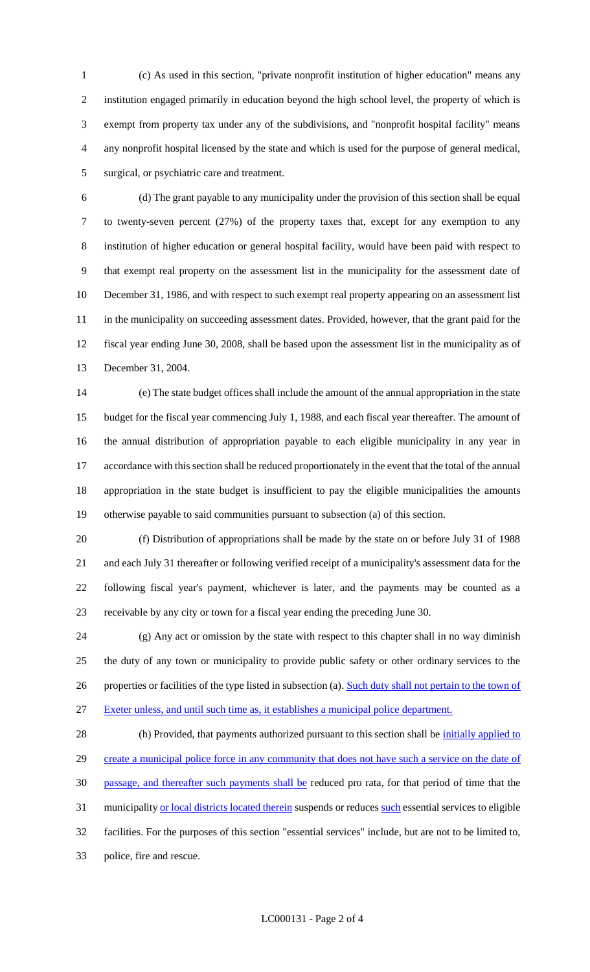(c) As used in this section, "private nonprofit institution of higher education" means any institution engaged primarily in education beyond the high school level, the property of which is exempt from property tax under any of the subdivisions, and "nonprofit hospital facility" means any nonprofit hospital licensed by the state and which is used for the purpose of general medical, surgical, or psychiatric care and treatment.

 (d) The grant payable to any municipality under the provision of this section shall be equal to twenty-seven percent (27%) of the property taxes that, except for any exemption to any institution of higher education or general hospital facility, would have been paid with respect to that exempt real property on the assessment list in the municipality for the assessment date of December 31, 1986, and with respect to such exempt real property appearing on an assessment list 11 in the municipality on succeeding assessment dates. Provided, however, that the grant paid for the fiscal year ending June 30, 2008, shall be based upon the assessment list in the municipality as of December 31, 2004.

 (e) The state budget offices shall include the amount of the annual appropriation in the state budget for the fiscal year commencing July 1, 1988, and each fiscal year thereafter. The amount of the annual distribution of appropriation payable to each eligible municipality in any year in accordance with this section shall be reduced proportionately in the event that the total of the annual appropriation in the state budget is insufficient to pay the eligible municipalities the amounts otherwise payable to said communities pursuant to subsection (a) of this section.

 (f) Distribution of appropriations shall be made by the state on or before July 31 of 1988 and each July 31 thereafter or following verified receipt of a municipality's assessment data for the following fiscal year's payment, whichever is later, and the payments may be counted as a receivable by any city or town for a fiscal year ending the preceding June 30.

 (g) Any act or omission by the state with respect to this chapter shall in no way diminish the duty of any town or municipality to provide public safety or other ordinary services to the 26 properties or facilities of the type listed in subsection (a). Such duty shall not pertain to the town of Exeter unless, and until such time as, it establishes a municipal police department.

28 (h) Provided, that payments authorized pursuant to this section shall be *initially applied to* 29 create a municipal police force in any community that does not have such a service on the date of passage, and thereafter such payments shall be reduced pro rata, for that period of time that the 31 municipality or local districts located therein suspends or reduces such essential services to eligible facilities. For the purposes of this section "essential services" include, but are not to be limited to, police, fire and rescue.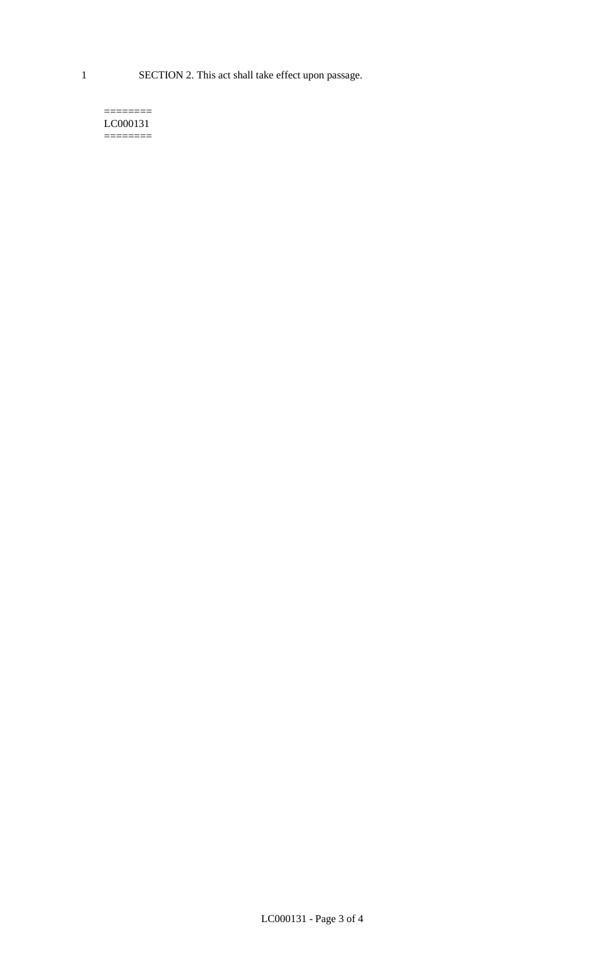1 SECTION 2. This act shall take effect upon passage.

#### $=$ LC000131 ========